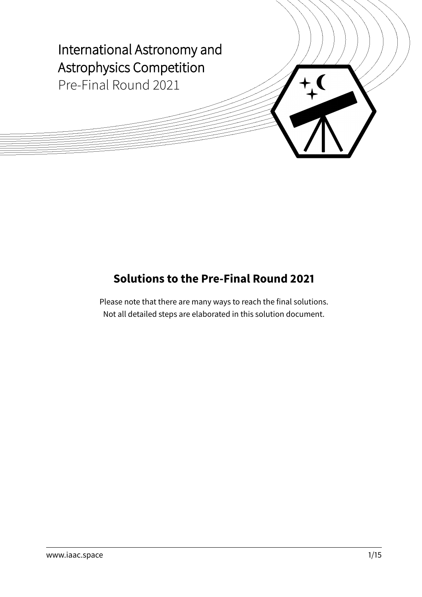

# **Solutions to the Pre-Final Round 2021**

Please note that there are many ways to reach the final solutions. Not all detailed steps are elaborated in this solution document.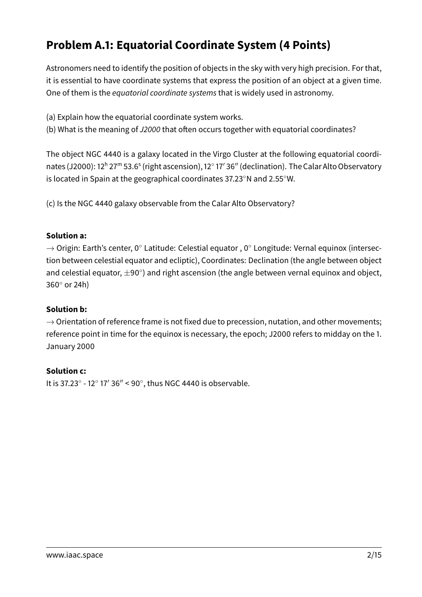# **Problem A.1: Equatorial Coordinate System (4 Points)**

Astronomers need to identify the position of objects in the sky with very high precision. For that, it is essential to have coordinate systems that express the position of an object at a given time. One of them is the equatorial coordinate systems that is widely used in astronomy.

- (a) Explain how the equatorial coordinate system works.
- (b) What is the meaning of J2000 that often occurs together with equatorial coordinates?

The object NGC 4440 is a galaxy located in the Virgo Cluster at the following equatorial coordinates (J2000): 12ʰ 27™ 53.6<sup>s</sup> (right ascension), 12° 17′ 36″ (declination). The Calar Alto Observatory is located in Spain at the geographical coordinates 37.23◦N and 2.55◦W.

(c) Is the NGC 4440 galaxy observable from the Calar Alto Observatory?

#### **Solution a:**

 $\rightarrow$  Origin: Earth's center, 0 $^{\circ}$  Latitude: Celestial equator, 0 $^{\circ}$  Longitude: Vernal equinox (intersection between celestial equator and ecliptic), Coordinates: Declination (the angle between object and celestial equator,  $\pm 90^{\circ}$ ) and right ascension (the angle between vernal equinox and object, 360◦ or 24h)

### **Solution b:**

 $\rightarrow$  Orientation of reference frame is not fixed due to precession, nutation, and other movements; reference point in time for the equinox is necessary, the epoch; J2000 refers to midday on the 1. January 2000

### **Solution c:**

It is 37.23 $^{\circ}$  - 12 $^{\circ}$  17' 36" < 90 $^{\circ}$ , thus NGC 4440 is observable.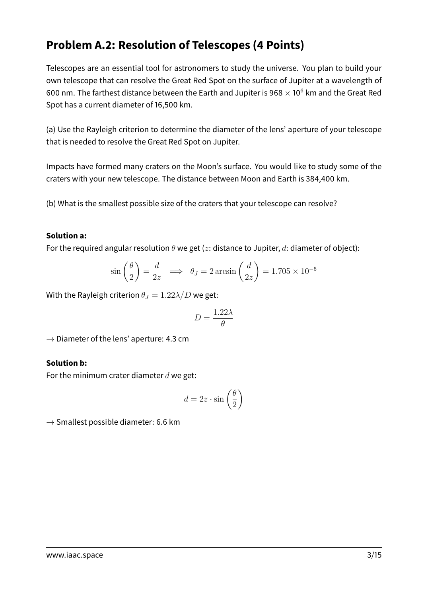## **Problem A.2: Resolution of Telescopes (4 Points)**

Telescopes are an essential tool for astronomers to study the universe. You plan to build your own telescope that can resolve the Great Red Spot on the surface of Jupiter at a wavelength of 600 nm. The farthest distance between the Earth and Jupiter is 968  $\times$  10<sup>6</sup> km and the Great Red Spot has a current diameter of 16,500 km.

(a) Use the Rayleigh criterion to determine the diameter of the lens' aperture of your telescope that is needed to resolve the Great Red Spot on Jupiter.

Impacts have formed many craters on the Moon's surface. You would like to study some of the craters with your new telescope. The distance between Moon and Earth is 384,400 km.

(b) What is the smallest possible size of the craters that your telescope can resolve?

#### **Solution a:**

For the required angular resolution  $\theta$  we get (z: distance to Jupiter, d: diameter of object):

$$
\sin\left(\frac{\theta}{2}\right) = \frac{d}{2z} \implies \theta_J = 2\arcsin\left(\frac{d}{2z}\right) = 1.705 \times 10^{-5}
$$

With the Rayleigh criterion  $\theta_J = 1.22 \lambda/D$  we get:

$$
D=\frac{1.22\lambda}{\theta}
$$

 $\rightarrow$  Diameter of the lens' aperture: 4.3 cm

#### **Solution b:**

For the minimum crater diameter  $d$  we get:

$$
d = 2z \cdot \sin\left(\frac{\theta}{2}\right)
$$

 $\rightarrow$  Smallest possible diameter: 6.6 km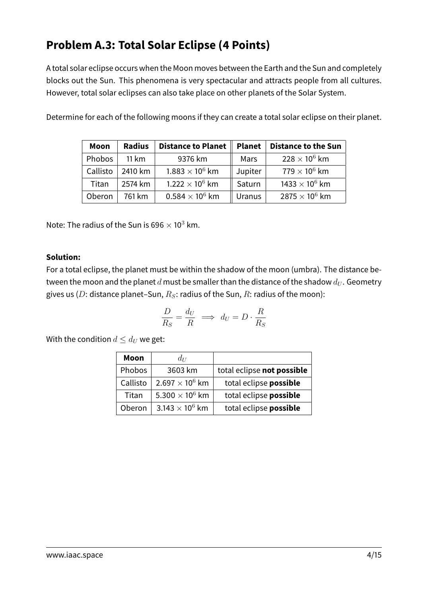# **Problem A.3: Total Solar Eclipse (4 Points)**

A total solar eclipse occurs when the Moon moves between the Earth and the Sun and completely blocks out the Sun. This phenomena is very spectacular and attracts people from all cultures. However, total solar eclipses can also take place on other planets of the Solar System.

| Moon     | <b>Radius</b> | Distance to Planet     | <b>Planet</b> | <b>Distance to the Sun</b>       |
|----------|---------------|------------------------|---------------|----------------------------------|
| Phobos   | 11 km         | 9376 km                | Mars          | $228 \times 10^6$ km             |
| Callisto | 2410 km       | $1.883 \times 10^6$ km | Jupiter       | $779\times10^6$ km               |
| Titan    | 2574 km       | $1.222 \times 10^6$ km | Saturn        | 1433 $\times$ 10 <sup>6</sup> km |
| Oberon   | 761 km        | $0.584 \times 10^6$ km | <b>Uranus</b> | 2875 $\times$ 10 <sup>6</sup> km |

Determine for each of the following moons if they can create a total solar eclipse on their planet.

Note: The radius of the Sun is 696  $\times$  10<sup>3</sup> km.

#### **Solution:**

For a total eclipse, the planet must be within the shadow of the moon (umbra). The distance between the moon and the planet d must be smaller than the distance of the shadow  $d_U$ . Geometry gives us (D: distance planet–Sun,  $R_S$ : radius of the Sun, R: radius of the moon):

$$
\frac{D}{R_S} = \frac{d_U}{R} \implies d_U = D \cdot \frac{R}{R_S}
$$

With the condition  $d \leq d_U$  we get:

| Moon     | $d_U$                             |                            |
|----------|-----------------------------------|----------------------------|
| Phobos   | 3603 km                           | total eclipse not possible |
| Callisto | $2.697 \times 10^{6}$ km          | total eclipse possible     |
| Titan    | 5.300 $\times$ 10 <sup>6</sup> km | total eclipse possible     |
| Oberon   | 3.143 $\times$ 10 <sup>6</sup> km | total eclipse possible     |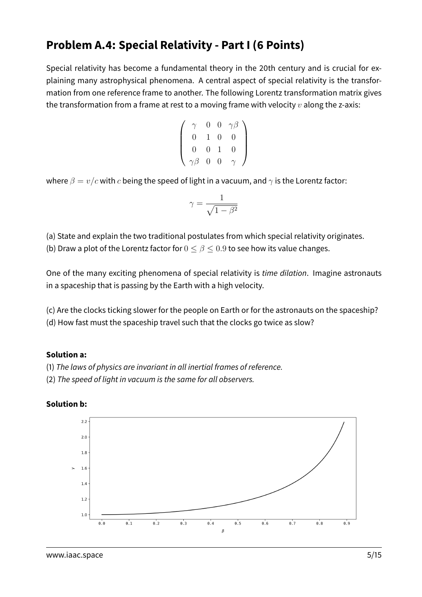## **Problem A.4: Special Relativity - Part I (6 Points)**

Special relativity has become a fundamental theory in the 20th century and is crucial for explaining many astrophysical phenomena. A central aspect of special relativity is the transformation from one reference frame to another. The following Lorentz transformation matrix gives the transformation from a frame at rest to a moving frame with velocity  $v$  along the z-axis:

$$
\left(\begin{array}{cccc} \gamma & 0 & 0 & \gamma\beta \\ 0 & 1 & 0 & 0 \\ 0 & 0 & 1 & 0 \\ \gamma\beta & 0 & 0 & \gamma \end{array}\right)
$$

where  $\beta = v/c$  with c being the speed of light in a vacuum, and  $\gamma$  is the Lorentz factor:

$$
\gamma = \frac{1}{\sqrt{1-\beta^2}}
$$

(a) State and explain the two traditional postulates from which special relativity originates.

(b) Draw a plot of the Lorentz factor for  $0 \le \beta \le 0.9$  to see how its value changes.

One of the many exciting phenomena of special relativity is time dilation. Imagine astronauts in a spaceship that is passing by the Earth with a high velocity.

(c) Are the clocks ticking slower for the people on Earth or for the astronauts on the spaceship? (d) How fast must the spaceship travel such that the clocks go twice as slow?

### **Solution a:**

- (1) The laws of physics are invariant in all inertial frames of reference.
- (2) The speed of light in vacuum is the same for all observers.

#### **Solution b:**

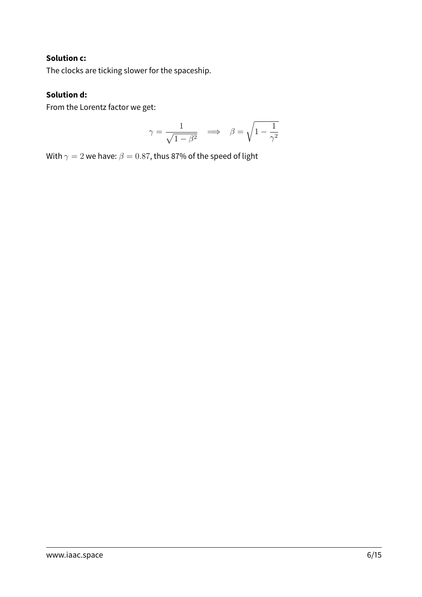#### **Solution c:**

The clocks are ticking slower for the spaceship.

### **Solution d:**

From the Lorentz factor we get:

$$
\gamma = \frac{1}{\sqrt{1-\beta^2}} \quad \Longrightarrow \quad \beta = \sqrt{1-\frac{1}{\gamma^2}}
$$

With  $\gamma = 2$  we have:  $\beta = 0.87$ , thus 87% of the speed of light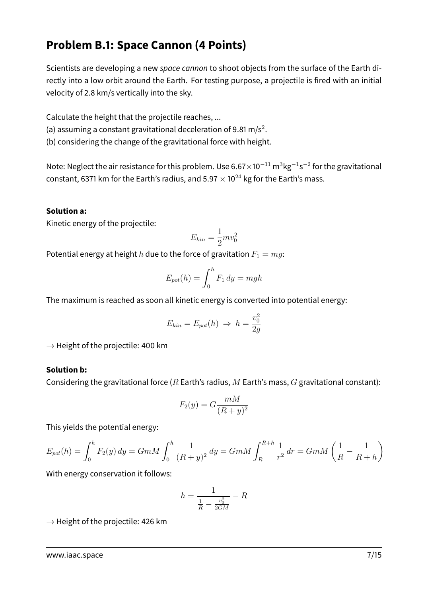## **Problem B.1: Space Cannon (4 Points)**

Scientists are developing a new space cannon to shoot objects from the surface of the Earth directly into a low orbit around the Earth. For testing purpose, a projectile is fired with an initial velocity of 2.8 km/s vertically into the sky.

Calculate the height that the projectile reaches, ...

(a) assuming a constant gravitational deceleration of 9.81 m/s<sup>2</sup>.

(b) considering the change of the gravitational force with height.

Note: Neglect the air resistance for this problem. Use 6.67 $\times$ 10 $^{-11}$  m $^3$ kg $^{-1}$ s $^{-2}$  for the gravitational constant, 6371 km for the Earth's radius, and  $5.97 \times 10^{24}$  kg for the Earth's mass.

#### **Solution a:**

Kinetic energy of the projectile:

$$
E_{kin} = \frac{1}{2} m v_0^2
$$

Potential energy at height h due to the force of gravitation  $F_1 = mg$ :

$$
E_{pot}(h) = \int_0^h F_1 dy = mgh
$$

The maximum is reached as soon all kinetic energy is converted into potential energy:

$$
E_{kin} = E_{pot}(h) \Rightarrow h = \frac{v_0^2}{2g}
$$

 $\rightarrow$  Height of the projectile: 400 km

#### **Solution b:**

Considering the gravitational force ( $R$  Earth's radius,  $M$  Earth's mass,  $G$  gravitational constant):

$$
F_2(y) = G \frac{mM}{(R+y)^2}
$$

This yields the potential energy:

$$
E_{pot}(h) = \int_0^h F_2(y) \, dy = GmM \int_0^h \frac{1}{(R+y)^2} \, dy = GmM \int_R^{R+h} \frac{1}{r^2} \, dr = GmM \left( \frac{1}{R} - \frac{1}{R+h} \right)
$$

With energy conservation it follows:

$$
h = \frac{1}{\frac{1}{R} - \frac{v_0^2}{2GM}} - R
$$

 $\rightarrow$  Height of the projectile: 426 km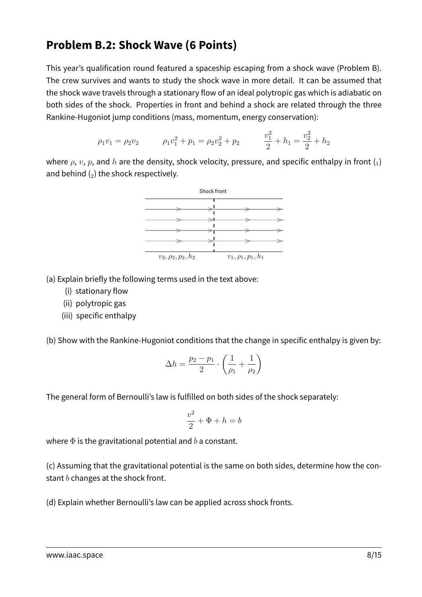### **Problem B.2: Shock Wave (6 Points)**

This year's qualification round featured a spaceship escaping from a shock wave (Problem B). The crew survives and wants to study the shock wave in more detail. It can be assumed that the shock wave travels through a stationary flow of an ideal polytropic gas which is adiabatic on both sides of the shock. Properties in front and behind a shock are related through the three Rankine-Hugoniot jump conditions (mass, momentum, energy conservation):

$$
\rho_1 v_1 = \rho_2 v_2 \qquad \rho_1 v_1^2 + p_1 = \rho_2 v_2^2 + p_2 \qquad \frac{v_1^2}{2} + h_1 = \frac{v_2^2}{2} + h_2
$$

where  $\rho$ ,  $v$ ,  $p$ , and  $h$  are the density, shock velocity, pressure, and specific enthalpy in front  $\binom{1}{k}$ and behind  $(_{2})$  the shock respectively.



(a) Explain briefly the following terms used in the text above:

- (i) stationary flow
- (ii) polytropic gas
- (iii) specific enthalpy

(b) Show with the Rankine-Hugoniot conditions that the change in specific enthalpy is given by:

$$
\Delta h = \frac{p_2 - p_1}{2} \cdot \left(\frac{1}{\rho_1} + \frac{1}{\rho_2}\right)
$$

The general form of Bernoulli's law is fulfilled on both sides of the shock separately:

$$
\frac{v^2}{2} + \Phi + h = b
$$

where  $\Phi$  is the gravitational potential and b a constant.

(c) Assuming that the gravitational potential is the same on both sides, determine how the constant  $b$  changes at the shock front.

(d) Explain whether Bernoulli's law can be applied across shock fronts.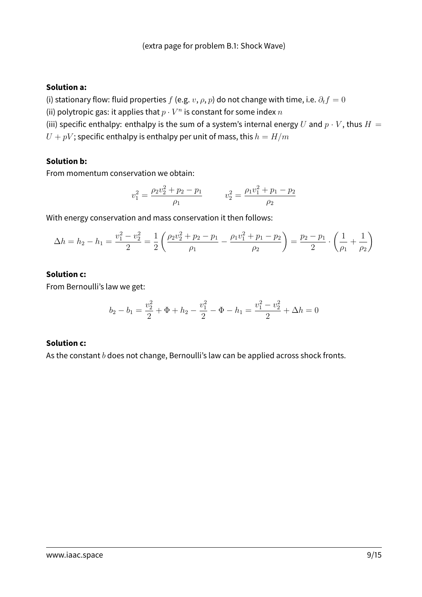#### **Solution a:**

(i) stationary flow: fluid properties  $f$  (e.g.  $v$ ,  $\rho$ ,  $p$ ) do not change with time, i.e.  $\partial_t f = 0$ (ii) polytropic gas: it applies that  $p\cdot V^n$  is constant for some index  $n$ 

(iii) specific enthalpy: enthalpy is the sum of a system's internal energy U and  $p \cdot V$ , thus  $H =$  $U + pV$ ; specific enthalpy is enthalpy per unit of mass, this  $h = H/m$ 

#### **Solution b:**

From momentum conservation we obtain:

$$
v_1^2 = \frac{\rho_2 v_2^2 + p_2 - p_1}{\rho_1} \qquad \qquad v_2^2 = \frac{\rho_1 v_1^2 + p_1 - p_2}{\rho_2}
$$

With energy conservation and mass conservation it then follows:

$$
\Delta h = h_2 - h_1 = \frac{v_1^2 - v_2^2}{2} = \frac{1}{2} \left( \frac{\rho_2 v_2^2 + p_2 - p_1}{\rho_1} - \frac{\rho_1 v_1^2 + p_1 - p_2}{\rho_2} \right) = \frac{p_2 - p_1}{2} \cdot \left( \frac{1}{\rho_1} + \frac{1}{\rho_2} \right)
$$

#### **Solution c:**

From Bernoulli's law we get:

$$
b_2 - b_1 = \frac{v_2^2}{2} + \Phi + h_2 - \frac{v_1^2}{2} - \Phi - h_1 = \frac{v_1^2 - v_2^2}{2} + \Delta h = 0
$$

#### **Solution c:**

As the constant  $b$  does not change, Bernoulli's law can be applied across shock fronts.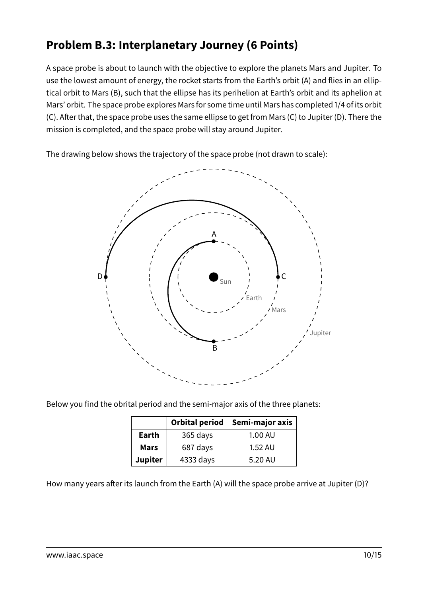# **Problem B.3: Interplanetary Journey (6 Points)**

A space probe is about to launch with the objective to explore the planets Mars and Jupiter. To use the lowest amount of energy, the rocket starts from the Earth's orbit (A) and flies in an elliptical orbit to Mars (B), such that the ellipse has its perihelion at Earth's orbit and its aphelion at Mars' orbit. The space probe explores Mars for some time until Mars has completed 1/4 of its orbit (C). After that, the space probe uses the same ellipse to get from Mars (C) to Jupiter (D). There the mission is completed, and the space probe will stay around Jupiter.

The drawing below shows the trajectory of the space probe (not drawn to scale):



Below you find the obrital period and the semi-major axis of the three planets:

|                | Orbital period | Semi-major axis |
|----------------|----------------|-----------------|
| Earth          | 365 days       | 1.00 AU         |
| <b>Mars</b>    | 687 days       | 1.52 AU         |
| <b>Jupiter</b> | 4333 days      | 5.20 AU         |

How many years after its launch from the Earth (A) will the space probe arrive at Jupiter (D)?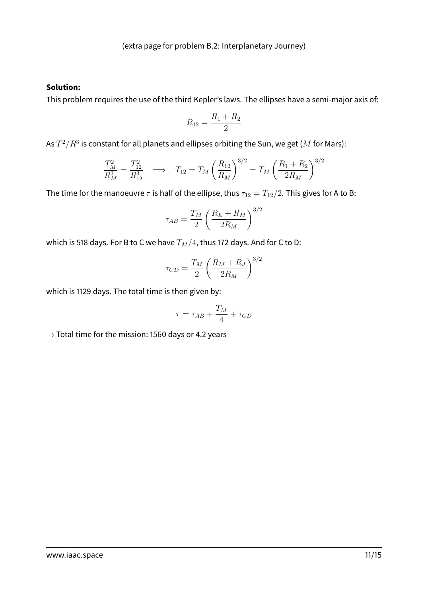#### **Solution:**

This problem requires the use of the third Kepler's laws. The ellipses have a semi-major axis of:

$$
R_{12} = \frac{R_1 + R_2}{2}
$$

As  $T^2/R^3$  is constant for all planets and ellipses orbiting the Sun, we get ( $M$  for Mars):

$$
\frac{T_M^2}{R_M^3} = \frac{T_{12}^2}{R_{12}^3} \quad \Longrightarrow \quad T_{12} = T_M \left(\frac{R_{12}}{R_M}\right)^{3/2} = T_M \left(\frac{R_1 + R_2}{2R_M}\right)^{3/2}
$$

The time for the manoeuvre  $\tau$  is half of the ellipse, thus  $\tau_{12} = T_{12}/2$ . This gives for A to B:

$$
\tau_{AB} = \frac{T_M}{2} \left( \frac{R_E + R_M}{2R_M} \right)^{3/2}
$$

which is 518 days. For B to C we have  $T_M/4$ , thus 172 days. And for C to D:

$$
\tau_{CD} = \frac{T_M}{2} \left( \frac{R_M + R_J}{2R_M} \right)^{3/2}
$$

which is 1129 days. The total time is then given by:

$$
\tau = \tau_{AB} + \frac{T_M}{4} + \tau_{CD}
$$

 $\rightarrow$  Total time for the mission: 1560 days or 4.2 years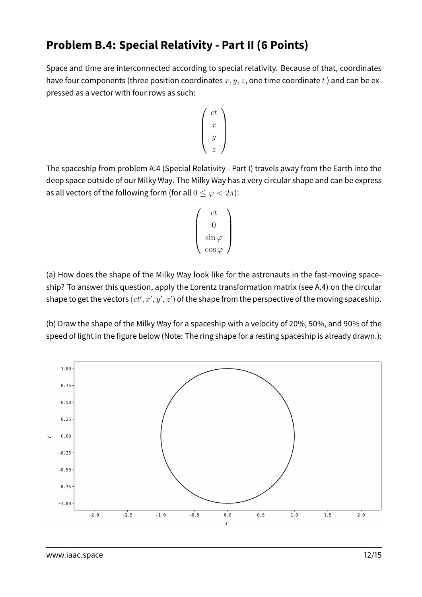## **Problem B.4: Special Relativity - Part II (6 Points)**

Space and time are interconnected according to special relativity. Because of that, coordinates have four components (three position coordinates  $x, y, z$ , one time coordinate t) and can be expressed as a vector with four rows as such:

$$
\left(\begin{array}{c}ct\\x\\y\\z\end{array}\right)
$$

The spaceship from problem A.4 (Special Relativity - Part I) travels away from the Earth into the deep space outside of our Milky Way. The Milky Way has a very circular shape and can be express as all vectors of the following form (for all  $0 \leq \varphi < 2\pi$ ):

$$
\begin{pmatrix} ct \\ 0 \\ \sin \varphi \\ \cos \varphi \end{pmatrix}
$$

(a) How does the shape of the Milky Way look like for the astronauts in the fast-moving spaceship? To answer this question, apply the Lorentz transformation matrix (see A.4) on the circular shape to get the vectors  $(ct', x', y', z')$  of the shape from the perspective of the moving spaceship.

(b) Draw the shape of the Milky Way for a spaceship with a velocity of 20%, 50%, and 90% of the speed of light in the figure below (Note: The ring shape for a resting spaceship is already drawn.):

![](_page_11_Figure_7.jpeg)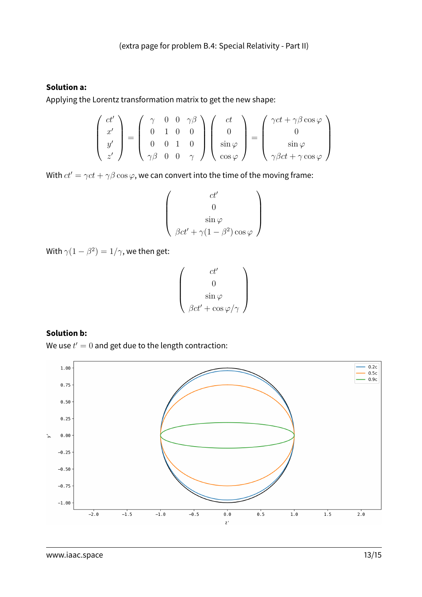#### **Solution a:**

Applying the Lorentz transformation matrix to get the new shape:

$$
\begin{pmatrix} ct' \\ x' \\ y' \\ z' \end{pmatrix} = \begin{pmatrix} \gamma & 0 & 0 & \gamma\beta \\ 0 & 1 & 0 & 0 \\ 0 & 0 & 1 & 0 \\ \gamma\beta & 0 & 0 & \gamma \end{pmatrix} \begin{pmatrix} ct \\ 0 \\ \sin\varphi \\ \cos\varphi \end{pmatrix} = \begin{pmatrix} \gamma ct + \gamma\beta\cos\varphi \\ 0 \\ \sin\varphi \\ \gamma\beta ct + \gamma\cos\varphi \end{pmatrix}
$$

With  $ct' = \gamma ct + \gamma \beta \cos \varphi$ , we can convert into the time of the moving frame:

$$
\begin{pmatrix} ct' \\ 0 \\ \sin \varphi \\ \beta ct' + \gamma (1 - \beta^2) \cos \varphi \end{pmatrix}
$$

With  $\gamma(1-\beta^2)=1/\gamma$ , we then get:

$$
\left(\begin{array}{c}ct'\\0\\\sin\varphi\\\beta ct'+\cos\varphi/\gamma\end{array}\right)
$$

#### **Solution b:**

We use  $t'=0$  and get due to the length contraction:

![](_page_12_Figure_10.jpeg)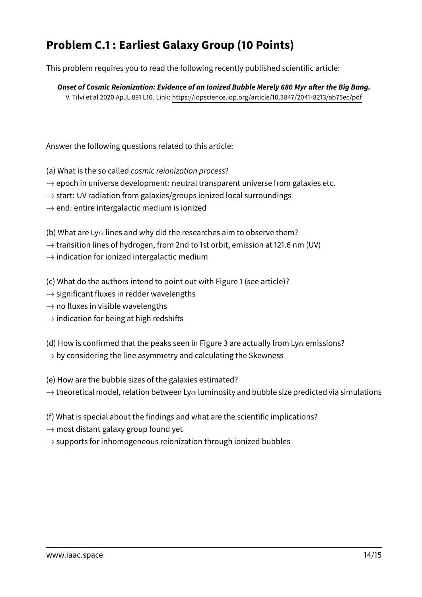# **Problem C.1 : Earliest Galaxy Group (10 Points)**

This problem requires you to read the following recently published scientific article:

**Onset of Cosmic Reionization: Evidence of an Ionized Bubble Merely 680 Myr after the Big Bang.** V. Tilvi et al 2020 ApJL 891 L10. Link:<https://iopscience.iop.org/article/10.3847/2041-8213/ab75ec/pdf>

Answer the following questions related to this article:

- (a) What is the so called cosmic reionization process?
- $\rightarrow$  epoch in universe development: neutral transparent universe from galaxies etc.
- $\rightarrow$  start: UV radiation from galaxies/groups ionized local surroundings
- $\rightarrow$  end: entire intergalactic medium is ionized

(b) What are Ly $\alpha$  lines and why did the researches aim to observe them?

- $\rightarrow$  transition lines of hydrogen, from 2nd to 1st orbit, emission at 121.6 nm (UV)
- $\rightarrow$  indication for ionized intergalactic medium

(c) What do the authors intend to point out with Figure 1 (see article)?

- $\rightarrow$  significant fluxes in redder wavelengths
- $\rightarrow$  no fluxes in visible wavelengths
- $\rightarrow$  indication for being at high redshifts
- (d) How is confirmed that the peaks seen in Figure 3 are actually from Ly $\alpha$  emissions?
- $\rightarrow$  by considering the line asymmetry and calculating the Skewness

(e) How are the bubble sizes of the galaxies estimated?

 $\rightarrow$  theoretical model, relation between Ly $\alpha$  luminosity and bubble size predicted via simulations

- (f) What is special about the findings and what are the scientific implications?
- $\rightarrow$  most distant galaxy group found yet
- $\rightarrow$  supports for inhomogeneous reionization through ionized bubbles